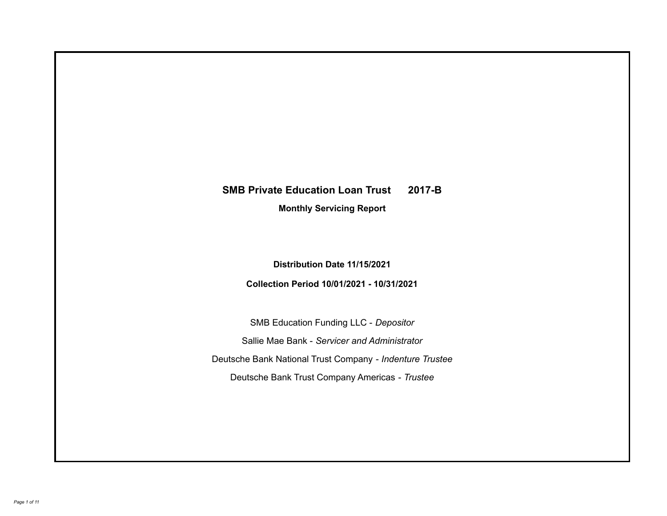# **SMB Private Education Loan Trust 2017-B**

**Monthly Servicing Report**

**Distribution Date 11/15/2021**

**Collection Period 10/01/2021 - 10/31/2021**

SMB Education Funding LLC - *Depositor* Sallie Mae Bank - *Servicer and Administrator* Deutsche Bank National Trust Company - *Indenture Trustee* Deutsche Bank Trust Company Americas - *Trustee*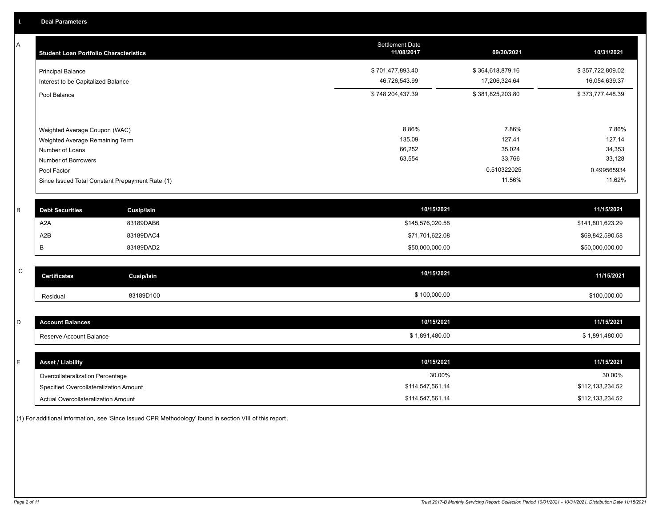A

| A | <b>Student Loan Portfolio Characteristics</b>                  | <b>Settlement Date</b><br>11/08/2017 | 09/30/2021       | 10/31/2021            |
|---|----------------------------------------------------------------|--------------------------------------|------------------|-----------------------|
|   | <b>Principal Balance</b>                                       | \$701,477,893.40                     | \$364,618,879.16 | \$357,722,809.02      |
|   | Interest to be Capitalized Balance                             | 46,726,543.99                        | 17,206,324.64    | 16,054,639.37         |
|   | Pool Balance                                                   | \$748,204,437.39                     | \$381,825,203.80 | \$373,777,448.39      |
|   |                                                                |                                      |                  |                       |
|   | Weighted Average Coupon (WAC)                                  | 8.86%                                | 7.86%            | 7.86%                 |
|   | Weighted Average Remaining Term                                | 135.09                               | 127.41           | 127.14                |
|   | Number of Loans                                                | 66,252<br>63,554                     | 35,024<br>33,766 | 34,353<br>33,128      |
|   | Number of Borrowers                                            |                                      | 0.510322025      |                       |
|   | Pool Factor<br>Since Issued Total Constant Prepayment Rate (1) |                                      | 11.56%           | 0.499565934<br>11.62% |
| B | <b>Debt Securities</b><br><b>Cusip/Isin</b>                    | 10/15/2021                           |                  | 11/15/2021            |
|   | A <sub>2</sub> A<br>83189DAB6                                  | \$145,576,020.58                     |                  | \$141,801,623.29      |
|   | A <sub>2</sub> B<br>83189DAC4                                  | \$71,701,622.08                      |                  | \$69,842,590.58       |
|   | В<br>83189DAD2                                                 | \$50,000,000.00                      |                  | \$50,000,000.00       |
| C | <b>Certificates</b><br><b>Cusip/Isin</b>                       | 10/15/2021                           |                  | 11/15/2021            |
|   |                                                                |                                      |                  |                       |
|   | 83189D100<br>Residual                                          | \$100,000.00                         |                  | \$100,000.00          |
|   |                                                                |                                      |                  |                       |
| D | <b>Account Balances</b>                                        | 10/15/2021                           |                  | 11/15/2021            |
|   | Reserve Account Balance                                        | \$1,891,480.00                       |                  | \$1,891,480.00        |
|   |                                                                |                                      |                  |                       |
| E | <b>Asset / Liability</b>                                       | 10/15/2021                           |                  | 11/15/2021            |
|   | Overcollateralization Percentage                               | 30.00%                               |                  | 30.00%                |
|   | Specified Overcollateralization Amount                         | \$114,547,561.14                     |                  | \$112,133,234.52      |

(1) For additional information, see 'Since Issued CPR Methodology' found in section VIII of this report .

Actual Overcollateralization Amount \$114,547,561.14

\$112,133,234.52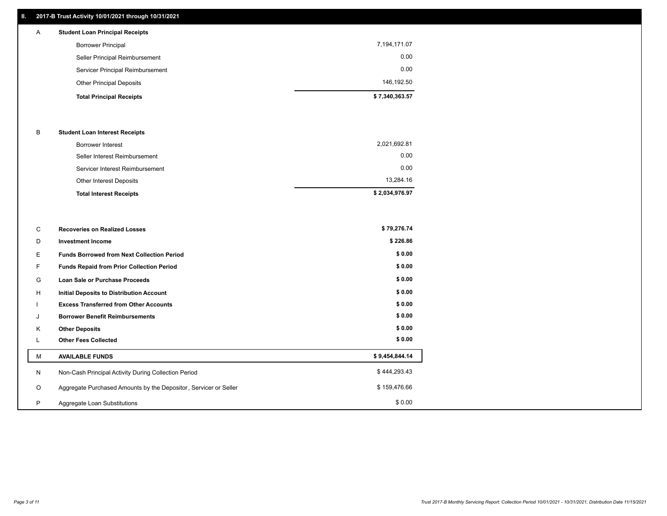## **II. 2017-B Trust Activity 10/01/2021 through 10/31/2021**

## **Total Principal Receipts \$ 7,340,363.57**  Other Principal Deposits 146,192.50 Servicer Principal Reimbursement 0.00 Seller Principal Reimbursement 0.00 Borrower Principal 7,194,171.07 A **Student Loan Principal Receipts**

## B **Student Loan Interest Receipts**

| <b>Total Interest Receipts</b>  | \$2,034,976.97 |
|---------------------------------|----------------|
| Other Interest Deposits         | 13,284.16      |
| Servicer Interest Reimbursement | 0.00           |
| Seller Interest Reimbursement   | 0.00           |
| Borrower Interest               | 2,021,692.81   |

| C       | <b>Recoveries on Realized Losses</b>                             | \$79,276.74    |
|---------|------------------------------------------------------------------|----------------|
| D       | <b>Investment Income</b>                                         | \$226.86       |
| Е       | <b>Funds Borrowed from Next Collection Period</b>                | \$0.00         |
| F       | <b>Funds Repaid from Prior Collection Period</b>                 | \$0.00         |
| G       | Loan Sale or Purchase Proceeds                                   | \$0.00         |
| Н       | Initial Deposits to Distribution Account                         | \$0.00         |
|         | <b>Excess Transferred from Other Accounts</b>                    | \$0.00         |
| J       | <b>Borrower Benefit Reimbursements</b>                           | \$0.00         |
| K       | <b>Other Deposits</b>                                            | \$0.00         |
| ┗       | <b>Other Fees Collected</b>                                      | \$0.00         |
| M       | <b>AVAILABLE FUNDS</b>                                           | \$9,454,844.14 |
| N       | Non-Cash Principal Activity During Collection Period             | \$444,293.43   |
| $\circ$ | Aggregate Purchased Amounts by the Depositor, Servicer or Seller | \$159,476.66   |
| P       | Aggregate Loan Substitutions                                     | \$0.00         |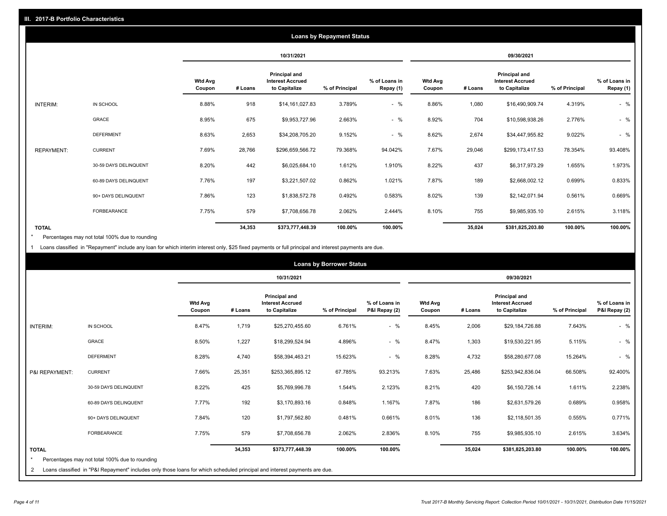|                   |                       |                          | <b>Loans by Repayment Status</b> |                                                           |                |                            |                          |         |                                                           |                |                            |  |
|-------------------|-----------------------|--------------------------|----------------------------------|-----------------------------------------------------------|----------------|----------------------------|--------------------------|---------|-----------------------------------------------------------|----------------|----------------------------|--|
|                   |                       |                          | 10/31/2021                       |                                                           |                |                            | 09/30/2021               |         |                                                           |                |                            |  |
|                   |                       | <b>Wtd Avg</b><br>Coupon | # Loans                          | Principal and<br><b>Interest Accrued</b><br>to Capitalize | % of Principal | % of Loans in<br>Repay (1) | <b>Wtd Avg</b><br>Coupon | # Loans | Principal and<br><b>Interest Accrued</b><br>to Capitalize | % of Principal | % of Loans in<br>Repay (1) |  |
| INTERIM:          | IN SCHOOL             | 8.88%                    | 918                              | \$14,161,027.83                                           | 3.789%         | $-$ %                      | 8.86%                    | 1,080   | \$16,490,909.74                                           | 4.319%         | $-$ %                      |  |
|                   | GRACE                 | 8.95%                    | 675                              | \$9,953,727.96                                            | 2.663%         | $-$ %                      | 8.92%                    | 704     | \$10,598,938.26                                           | 2.776%         | $-$ %                      |  |
|                   | <b>DEFERMENT</b>      | 8.63%                    | 2,653                            | \$34,208,705.20                                           | 9.152%         | $-$ %                      | 8.62%                    | 2,674   | \$34,447,955.82                                           | 9.022%         | $-$ %                      |  |
| <b>REPAYMENT:</b> | <b>CURRENT</b>        | 7.69%                    | 28,766                           | \$296,659,566.72                                          | 79.368%        | 94.042%                    | 7.67%                    | 29,046  | \$299,173,417.53                                          | 78.354%        | 93.408%                    |  |
|                   | 30-59 DAYS DELINQUENT | 8.20%                    | 442                              | \$6,025,684.10                                            | 1.612%         | 1.910%                     | 8.22%                    | 437     | \$6,317,973.29                                            | 1.655%         | 1.973%                     |  |
|                   | 60-89 DAYS DELINQUENT | 7.76%                    | 197                              | \$3,221,507.02                                            | 0.862%         | 1.021%                     | 7.87%                    | 189     | \$2,668,002.12                                            | 0.699%         | 0.833%                     |  |
|                   | 90+ DAYS DELINQUENT   | 7.86%                    | 123                              | \$1,838,572.78                                            | 0.492%         | 0.583%                     | 8.02%                    | 139     | \$2,142,071.94                                            | 0.561%         | 0.669%                     |  |
|                   | FORBEARANCE           | 7.75%                    | 579                              | \$7,708,656.78                                            | 2.062%         | 2.444%                     | 8.10%                    | 755     | \$9,985,935.10                                            | 2.615%         | 3.118%                     |  |
| <b>TOTAL</b>      |                       |                          | 34,353                           | \$373,777,448.39                                          | 100.00%        | 100.00%                    |                          | 35,024  | \$381,825,203.80                                          | 100.00%        | 100.00%                    |  |

Percentages may not total 100% due to rounding \*

1 Loans classified in "Repayment" include any loan for which interim interest only, \$25 fixed payments or full principal and interest payments are due.

| <b>Loans by Borrower Status</b> |                                                                                                                                                                              |                          |         |                                                           |                |                                |                          |         |                                                                  |                |                                |
|---------------------------------|------------------------------------------------------------------------------------------------------------------------------------------------------------------------------|--------------------------|---------|-----------------------------------------------------------|----------------|--------------------------------|--------------------------|---------|------------------------------------------------------------------|----------------|--------------------------------|
|                                 |                                                                                                                                                                              |                          |         | 10/31/2021                                                |                |                                | 09/30/2021               |         |                                                                  |                |                                |
|                                 |                                                                                                                                                                              | <b>Wtd Avg</b><br>Coupon | # Loans | Principal and<br><b>Interest Accrued</b><br>to Capitalize | % of Principal | % of Loans in<br>P&I Repay (2) | <b>Wtd Avg</b><br>Coupon | # Loans | <b>Principal and</b><br><b>Interest Accrued</b><br>to Capitalize | % of Principal | % of Loans in<br>P&I Repay (2) |
| INTERIM:                        | IN SCHOOL                                                                                                                                                                    | 8.47%                    | 1,719   | \$25,270,455.60                                           | 6.761%         | $-$ %                          | 8.45%                    | 2,006   | \$29,184,726.88                                                  | 7.643%         | $-$ %                          |
|                                 | <b>GRACE</b>                                                                                                                                                                 | 8.50%                    | 1,227   | \$18,299,524.94                                           | 4.896%         | $-$ %                          | 8.47%                    | 1,303   | \$19,530,221.95                                                  | 5.115%         | $-$ %                          |
|                                 | <b>DEFERMENT</b>                                                                                                                                                             | 8.28%                    | 4,740   | \$58,394,463.21                                           | 15.623%        | $-$ %                          | 8.28%                    | 4,732   | \$58,280,677.08                                                  | 15.264%        | $-$ %                          |
| P&I REPAYMENT:                  | <b>CURRENT</b>                                                                                                                                                               | 7.66%                    | 25,351  | \$253,365,895.12                                          | 67.785%        | 93.213%                        | 7.63%                    | 25,486  | \$253,942,836.04                                                 | 66.508%        | 92.400%                        |
|                                 | 30-59 DAYS DELINQUENT                                                                                                                                                        | 8.22%                    | 425     | \$5,769,996.78                                            | 1.544%         | 2.123%                         | 8.21%                    | 420     | \$6,150,726.14                                                   | 1.611%         | 2.238%                         |
|                                 | 60-89 DAYS DELINQUENT                                                                                                                                                        | 7.77%                    | 192     | \$3,170,893.16                                            | 0.848%         | 1.167%                         | 7.87%                    | 186     | \$2,631,579.26                                                   | 0.689%         | 0.958%                         |
|                                 | 90+ DAYS DELINQUENT                                                                                                                                                          | 7.84%                    | 120     | \$1,797,562.80                                            | 0.481%         | 0.661%                         | 8.01%                    | 136     | \$2,118,501.35                                                   | 0.555%         | 0.771%                         |
|                                 | <b>FORBEARANCE</b>                                                                                                                                                           | 7.75%                    | 579     | \$7,708,656.78                                            | 2.062%         | 2.836%                         | 8.10%                    | 755     | \$9,985,935.10                                                   | 2.615%         | 3.634%                         |
| <b>TOTAL</b><br>$\star$<br>2    | Percentages may not total 100% due to rounding<br>Loans classified in "P&I Repayment" includes only those loans for which scheduled principal and interest payments are due. |                          | 34,353  | \$373,777,448.39                                          | 100.00%        | 100.00%                        |                          | 35,024  | \$381,825,203.80                                                 | 100.00%        | 100.00%                        |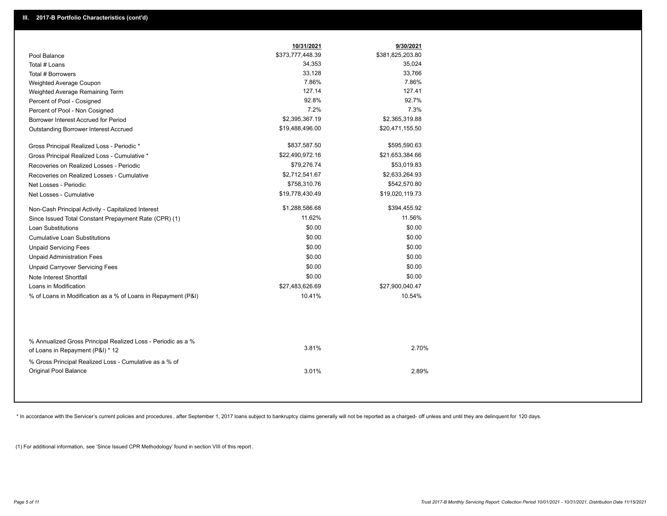|                                                                                        | 10/31/2021       | 9/30/2021        |
|----------------------------------------------------------------------------------------|------------------|------------------|
| Pool Balance                                                                           | \$373,777,448.39 | \$381,825,203.80 |
| Total # Loans                                                                          | 34,353           | 35,024           |
| Total # Borrowers                                                                      | 33,128           | 33,766           |
| Weighted Average Coupon                                                                | 7.86%            | 7.86%            |
| Weighted Average Remaining Term                                                        | 127.14           | 127.41           |
| Percent of Pool - Cosigned                                                             | 92.8%            | 92.7%            |
| Percent of Pool - Non Cosigned                                                         | 7.2%             | 7.3%             |
| Borrower Interest Accrued for Period                                                   | \$2,395,367.19   | \$2,365,319.88   |
| <b>Outstanding Borrower Interest Accrued</b>                                           | \$19,488,496.00  | \$20,471,155.50  |
| Gross Principal Realized Loss - Periodic *                                             | \$837,587.50     | \$595,590.63     |
| Gross Principal Realized Loss - Cumulative *                                           | \$22,490,972.16  | \$21,653,384.66  |
| Recoveries on Realized Losses - Periodic                                               | \$79,276.74      | \$53,019.83      |
| Recoveries on Realized Losses - Cumulative                                             | \$2,712,541.67   | \$2,633,264.93   |
| Net Losses - Periodic                                                                  | \$758,310.76     | \$542,570.80     |
| Net Losses - Cumulative                                                                | \$19,778,430.49  | \$19,020,119.73  |
| Non-Cash Principal Activity - Capitalized Interest                                     | \$1,288,586.68   | \$394,455.92     |
| Since Issued Total Constant Prepayment Rate (CPR) (1)                                  | 11.62%           | 11.56%           |
| <b>Loan Substitutions</b>                                                              | \$0.00           | \$0.00           |
| <b>Cumulative Loan Substitutions</b>                                                   | \$0.00           | \$0.00           |
| <b>Unpaid Servicing Fees</b>                                                           | \$0.00           | \$0.00           |
| <b>Unpaid Administration Fees</b>                                                      | \$0.00           | \$0.00           |
| <b>Unpaid Carryover Servicing Fees</b>                                                 | \$0.00           | \$0.00           |
| Note Interest Shortfall                                                                | \$0.00           | \$0.00           |
| Loans in Modification                                                                  | \$27,483,626.69  | \$27,900,040.47  |
| % of Loans in Modification as a % of Loans in Repayment (P&I)                          | 10.41%           | 10.54%           |
| % Annualized Gross Principal Realized Loss - Periodic as a %                           |                  |                  |
| of Loans in Repayment (P&I) * 12                                                       | 3.81%            | 2.70%            |
| % Gross Principal Realized Loss - Cumulative as a % of<br><b>Original Pool Balance</b> | 3.01%            | 2.89%            |

\* In accordance with the Servicer's current policies and procedures, after September 1, 2017 loans subject to bankruptcy claims generally will not be reported as a charged- off unless and until they are delinquent for 120

(1) For additional information, see 'Since Issued CPR Methodology' found in section VIII of this report .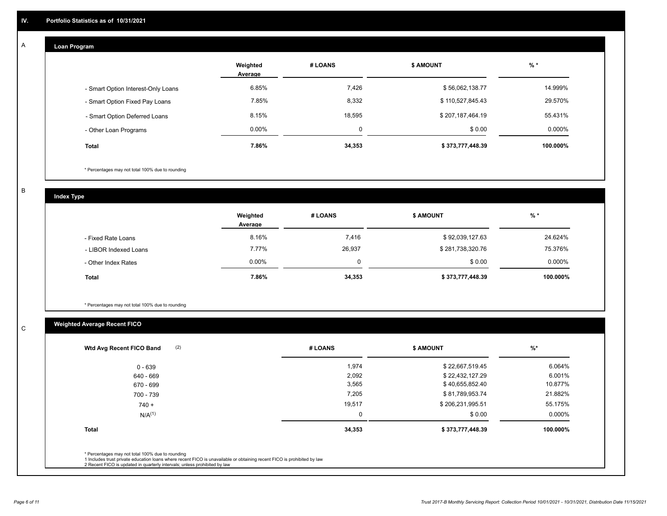#### **Loan Program**  A

|                                    | Weighted<br>Average | # LOANS | <b>\$ AMOUNT</b> | $%$ *    |
|------------------------------------|---------------------|---------|------------------|----------|
| - Smart Option Interest-Only Loans | 6.85%               | 7,426   | \$56,062,138.77  | 14.999%  |
| - Smart Option Fixed Pay Loans     | 7.85%               | 8,332   | \$110,527,845.43 | 29.570%  |
| - Smart Option Deferred Loans      | 8.15%               | 18,595  | \$207,187,464.19 | 55.431%  |
| - Other Loan Programs              | $0.00\%$            | 0       | \$0.00           | 0.000%   |
| <b>Total</b>                       | 7.86%               | 34,353  | \$373,777,448.39 | 100.000% |

\* Percentages may not total 100% due to rounding

B

C

**Index Type**

|                       | Weighted<br>Average | # LOANS | <b>\$ AMOUNT</b> | $%$ *     |
|-----------------------|---------------------|---------|------------------|-----------|
| - Fixed Rate Loans    | 8.16%               | 7,416   | \$92,039,127.63  | 24.624%   |
| - LIBOR Indexed Loans | 7.77%               | 26,937  | \$281,738,320.76 | 75.376%   |
| - Other Index Rates   | $0.00\%$            | 0       | \$0.00           | $0.000\%$ |
| <b>Total</b>          | 7.86%               | 34,353  | \$373,777,448.39 | 100.000%  |

\* Percentages may not total 100% due to rounding

## **Weighted Average Recent FICO**

| # LOANS | <b>\$ AMOUNT</b> | $\frac{9}{6}$ * |
|---------|------------------|-----------------|
| 1,974   | \$22,667,519.45  | 6.064%          |
| 2,092   | \$22,432,127.29  | 6.001%          |
| 3,565   | \$40,655,852.40  | 10.877%         |
| 7,205   | \$81,789,953.74  | 21.882%         |
| 19,517  | \$206,231,995.51 | 55.175%         |
| 0       | \$0.00           | 0.000%          |
| 34,353  | \$373,777,448.39 | 100.000%        |
|         |                  |                 |
|         |                  |                 |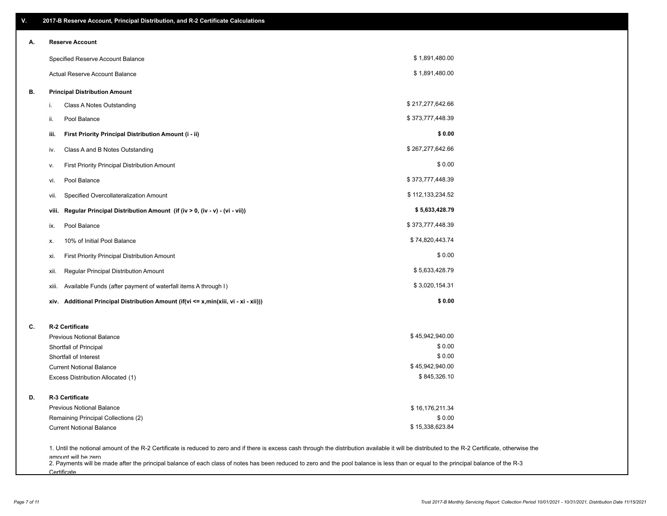| ۷. | 2017-B Reserve Account, Principal Distribution, and R-2 Certificate Calculations                                                                                                                                          |                  |  |
|----|---------------------------------------------------------------------------------------------------------------------------------------------------------------------------------------------------------------------------|------------------|--|
| А. | <b>Reserve Account</b>                                                                                                                                                                                                    |                  |  |
|    | Specified Reserve Account Balance                                                                                                                                                                                         | \$1,891,480.00   |  |
|    | Actual Reserve Account Balance                                                                                                                                                                                            | \$1,891,480.00   |  |
| В. | <b>Principal Distribution Amount</b>                                                                                                                                                                                      |                  |  |
|    | Class A Notes Outstanding<br>i.                                                                                                                                                                                           | \$217,277,642.66 |  |
|    | Pool Balance<br>ii.                                                                                                                                                                                                       | \$373,777,448.39 |  |
|    | First Priority Principal Distribution Amount (i - ii)<br>iii.                                                                                                                                                             | \$0.00           |  |
|    | Class A and B Notes Outstanding<br>iv.                                                                                                                                                                                    | \$267,277,642.66 |  |
|    | First Priority Principal Distribution Amount<br>۷.                                                                                                                                                                        | \$0.00           |  |
|    | Pool Balance<br>VI.                                                                                                                                                                                                       | \$373,777,448.39 |  |
|    | Specified Overcollateralization Amount<br>vii.                                                                                                                                                                            | \$112,133,234.52 |  |
|    | Regular Principal Distribution Amount (if (iv > 0, (iv - v) - (vi - vii))<br>viii.                                                                                                                                        | \$5,633,428.79   |  |
|    | Pool Balance<br>ix.                                                                                                                                                                                                       | \$373,777,448.39 |  |
|    | 10% of Initial Pool Balance<br>х.                                                                                                                                                                                         | \$74,820,443.74  |  |
|    | First Priority Principal Distribution Amount<br>xi.                                                                                                                                                                       | \$0.00           |  |
|    | Regular Principal Distribution Amount<br>xii.                                                                                                                                                                             | \$5,633,428.79   |  |
|    | Available Funds (after payment of waterfall items A through I)<br>xiii.                                                                                                                                                   | \$3,020,154.31   |  |
|    | Additional Principal Distribution Amount (if(vi <= x,min(xiii, vi - xi - xii)))<br>xiv.                                                                                                                                   | \$0.00           |  |
| C. | R-2 Certificate                                                                                                                                                                                                           |                  |  |
|    | <b>Previous Notional Balance</b>                                                                                                                                                                                          | \$45,942,940.00  |  |
|    | Shortfall of Principal                                                                                                                                                                                                    | \$0.00           |  |
|    | Shortfall of Interest                                                                                                                                                                                                     | \$0.00           |  |
|    | <b>Current Notional Balance</b>                                                                                                                                                                                           | \$45,942,940.00  |  |
|    | Excess Distribution Allocated (1)                                                                                                                                                                                         | \$845,326.10     |  |
| D. | R-3 Certificate                                                                                                                                                                                                           |                  |  |
|    | <b>Previous Notional Balance</b>                                                                                                                                                                                          | \$16,176,211.34  |  |
|    | Remaining Principal Collections (2)                                                                                                                                                                                       | \$0.00           |  |
|    | <b>Current Notional Balance</b>                                                                                                                                                                                           | \$15,338,623.84  |  |
|    | 1. Until the notional amount of the R-2 Certificate is reduced to zero and if there is excess cash through the distribution available it will be distributed to the R-2 Certificate, otherwise the<br>amount will be zero |                  |  |

amount will be zero<br>2. Payments will be made after the principal balance of each class of notes has been reduced to zero and the pool balance is less than or equal to the principal balance of the R-3 **Certificate**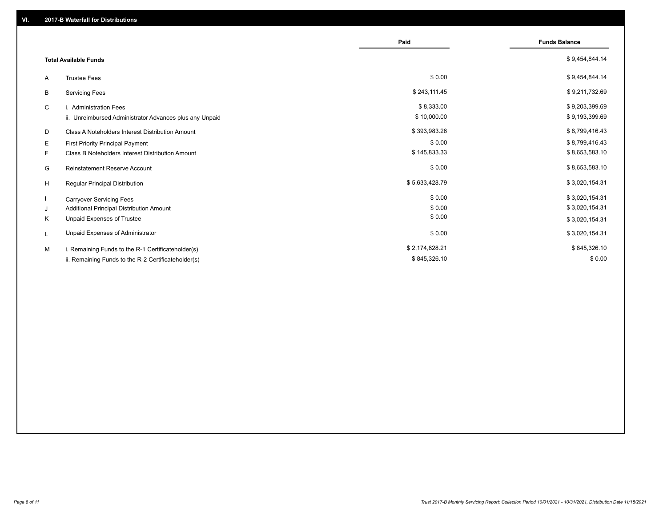|                                                         | Paid           | <b>Funds Balance</b> |
|---------------------------------------------------------|----------------|----------------------|
| <b>Total Available Funds</b>                            |                | \$9,454,844.14       |
| <b>Trustee Fees</b><br>A                                | \$0.00         | \$9,454,844.14       |
| В<br><b>Servicing Fees</b>                              | \$243,111.45   | \$9,211,732.69       |
| C<br>i. Administration Fees                             | \$8,333.00     | \$9,203,399.69       |
| ii. Unreimbursed Administrator Advances plus any Unpaid | \$10,000.00    | \$9,193,399.69       |
| D<br>Class A Noteholders Interest Distribution Amount   | \$393,983.26   | \$8,799,416.43       |
| Е<br>First Priority Principal Payment                   | \$0.00         | \$8,799,416.43       |
| Class B Noteholders Interest Distribution Amount<br>F.  | \$145,833.33   | \$8,653,583.10       |
| G<br><b>Reinstatement Reserve Account</b>               | \$0.00         | \$8,653,583.10       |
| H<br>Regular Principal Distribution                     | \$5,633,428.79 | \$3,020,154.31       |
| <b>Carryover Servicing Fees</b>                         | \$0.00         | \$3,020,154.31       |
| Additional Principal Distribution Amount<br>J           | \$0.00         | \$3,020,154.31       |
| Κ<br>Unpaid Expenses of Trustee                         | \$0.00         | \$3,020,154.31       |
| Unpaid Expenses of Administrator<br>L                   | \$0.00         | \$3,020,154.31       |
| M<br>i. Remaining Funds to the R-1 Certificateholder(s) | \$2,174,828.21 | \$845,326.10         |
| ii. Remaining Funds to the R-2 Certificateholder(s)     | \$845,326.10   | \$0.00               |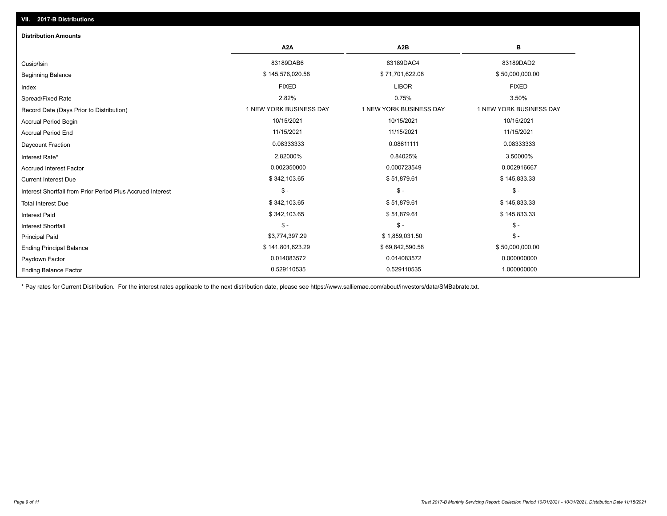| <b>Distribution Amounts</b>                                |                         |                         |                         |
|------------------------------------------------------------|-------------------------|-------------------------|-------------------------|
|                                                            | A2A                     | A <sub>2</sub> B        | в                       |
| Cusip/Isin                                                 | 83189DAB6               | 83189DAC4               | 83189DAD2               |
| <b>Beginning Balance</b>                                   | \$145,576,020.58        | \$71,701,622.08         | \$50,000,000.00         |
| Index                                                      | <b>FIXED</b>            | <b>LIBOR</b>            | <b>FIXED</b>            |
| Spread/Fixed Rate                                          | 2.82%                   | 0.75%                   | 3.50%                   |
| Record Date (Days Prior to Distribution)                   | 1 NEW YORK BUSINESS DAY | 1 NEW YORK BUSINESS DAY | 1 NEW YORK BUSINESS DAY |
| Accrual Period Begin                                       | 10/15/2021              | 10/15/2021              | 10/15/2021              |
| <b>Accrual Period End</b>                                  | 11/15/2021              | 11/15/2021              | 11/15/2021              |
| <b>Daycount Fraction</b>                                   | 0.08333333              | 0.08611111              | 0.08333333              |
| Interest Rate*                                             | 2.82000%                | 0.84025%                | 3.50000%                |
| <b>Accrued Interest Factor</b>                             | 0.002350000             | 0.000723549             | 0.002916667             |
| <b>Current Interest Due</b>                                | \$342,103.65            | \$51,879.61             | \$145,833.33            |
| Interest Shortfall from Prior Period Plus Accrued Interest | $\mathcal{S}$ -         | $\frac{1}{2}$ -         | $\frac{1}{2}$           |
| <b>Total Interest Due</b>                                  | \$342,103.65            | \$51,879.61             | \$145,833.33            |
| <b>Interest Paid</b>                                       | \$342,103.65            | \$51,879.61             | \$145,833.33            |
| <b>Interest Shortfall</b>                                  | $$ -$                   | $\mathsf{\$}$ -         | $$ -$                   |
| <b>Principal Paid</b>                                      | \$3,774,397.29          | \$1,859,031.50          | $$ -$                   |
| <b>Ending Principal Balance</b>                            | \$141,801,623.29        | \$69,842,590.58         | \$50,000,000.00         |
| Paydown Factor                                             | 0.014083572             | 0.014083572             | 0.000000000             |
| <b>Ending Balance Factor</b>                               | 0.529110535             | 0.529110535             | 1.000000000             |

\* Pay rates for Current Distribution. For the interest rates applicable to the next distribution date, please see https://www.salliemae.com/about/investors/data/SMBabrate.txt.

**VII. 2017-B Distributions**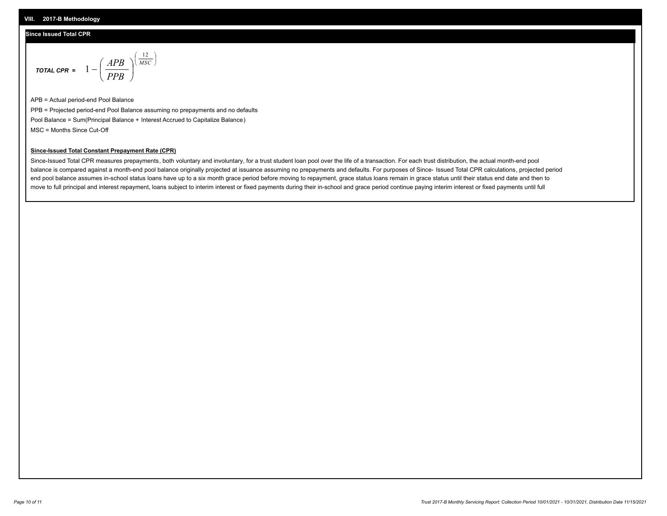## **Since Issued Total CPR**

$$
\text{total cPR} = 1 - \left(\frac{APB}{PPB}\right)^{\left(\frac{12}{MSC}\right)}
$$

APB = Actual period-end Pool Balance PPB = Projected period-end Pool Balance assuming no prepayments and no defaults Pool Balance = Sum(Principal Balance + Interest Accrued to Capitalize Balance) MSC = Months Since Cut-Off

I J Ι

## **Since-Issued Total Constant Prepayment Rate (CPR)**

Since-Issued Total CPR measures prepayments, both voluntary and involuntary, for a trust student loan pool over the life of a transaction. For each trust distribution, the actual month-end pool balance is compared against a month-end pool balance originally projected at issuance assuming no prepayments and defaults. For purposes of Since- Issued Total CPR calculations, projected period end pool balance assumes in-school status loans have up to a six month grace period before moving to repayment, grace status loans remain in grace status until their status end date and then to move to full principal and interest repayment, loans subject to interim interest or fixed payments during their in-school and grace period continue paying interim interest or fixed payments until full